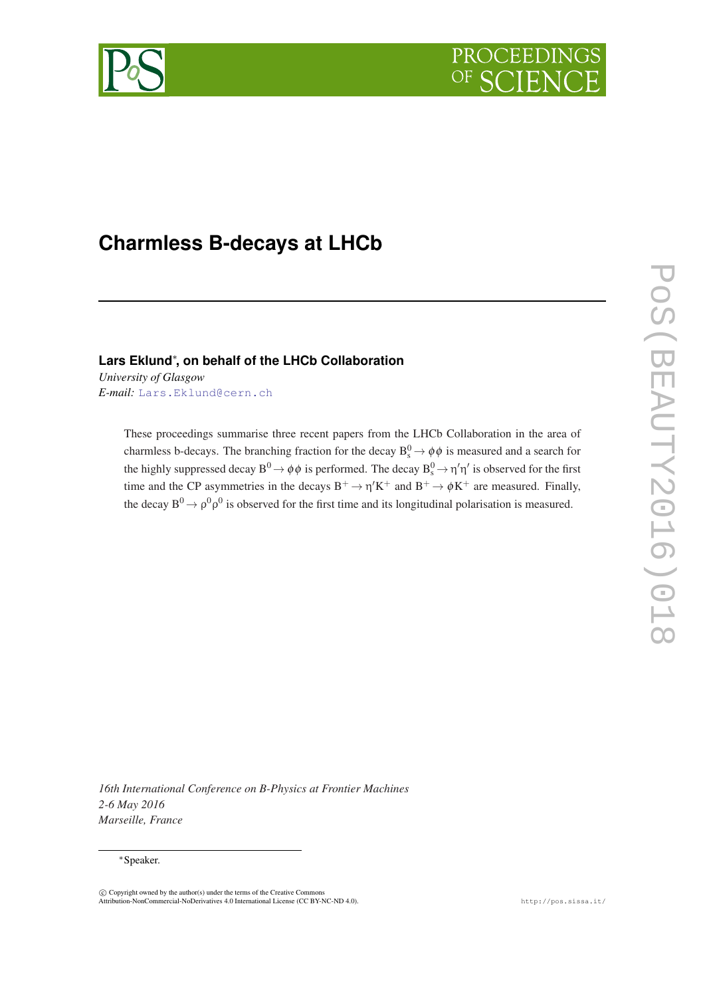



# **Charmless B-decays at LHCb**

### **Lars Eklund**<sup>∗</sup> **, on behalf of the LHCb Collaboration**

*University of Glasgow E-mail:* [Lars.Eklund@cern.ch](mailto:Lars.Eklund@cern.ch)

> These proceedings summarise three recent papers from the LHCb Collaboration in the area of charmless b-decays. The branching fraction for the decay  $B_s^0 \rightarrow \phi \phi$  is measured and a search for the highly suppressed decay  $B^0 \to \phi \phi$  is performed. The decay  $B_s^0 \to \eta' \eta'$  is observed for the first time and the CP asymmetries in the decays  $B^+ \to \eta' K^+$  and  $B^+ \to \phi K^+$  are measured. Finally, the decay  $B^0 \rightarrow \rho^0 \rho^0$  is observed for the first time and its longitudinal polarisation is measured.

*16th International Conference on B-Physics at Frontier Machines 2-6 May 2016 Marseille, France*

#### <sup>∗</sup>Speaker.

c Copyright owned by the author(s) under the terms of the Creative Commons Attribution-NonCommercial-NoDerivatives 4.0 International License (CC BY-NC-ND 4.0). http://pos.sissa.it/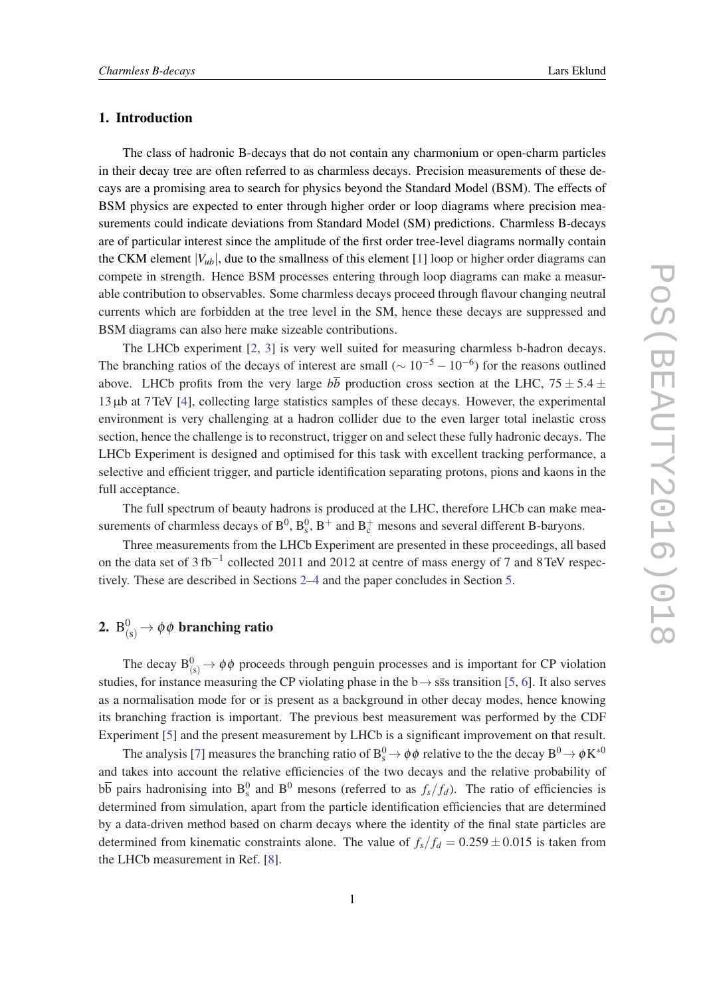### 1. Introduction

The class of hadronic B-decays that do not contain any charmonium or open-charm particles in their decay tree are often referred to as charmless decays. Precision measurements of these decays are a promising area to search for physics beyond the Standard Model (BSM). The effects of BSM physics are expected to enter through higher order or loop diagrams where precision measurements could indicate deviations from Standard Model (SM) predictions. Charmless B-decays are of particular interest since the amplitude of the first order tree-level diagrams normally contain the CKM element  $|V_{ub}|$ , due to the smallness of this element [[1](#page-5-0)] loop or higher order diagrams can compete in strength. Hence BSM processes entering through loop diagrams can make a measurable contribution to observables. Some charmless decays proceed through flavour changing neutral currents which are forbidden at the tree level in the SM, hence these decays are suppressed and BSM diagrams can also here make sizeable contributions.

The LHCb experiment [[2](#page-5-0), [3](#page-5-0)] is very well suited for measuring charmless b-hadron decays. The branching ratios of the decays of interest are small ( $\sim 10^{-5} - 10^{-6}$ ) for the reasons outlined above. LHCb profits from the very large  $b\overline{b}$  production cross section at the LHC,  $75 \pm 5.4 \pm 1.5$ 13µb at 7TeV [\[4](#page-5-0)], collecting large statistics samples of these decays. However, the experimental environment is very challenging at a hadron collider due to the even larger total inelastic cross section, hence the challenge is to reconstruct, trigger on and select these fully hadronic decays. The LHCb Experiment is designed and optimised for this task with excellent tracking performance, a selective and efficient trigger, and particle identification separating protons, pions and kaons in the full acceptance.

The full spectrum of beauty hadrons is produced at the LHC, therefore LHCb can make measurements of charmless decays of  $B^0$ ,  $B_s^0$ ,  $B^+$  and  $B_c^+$  mesons and several different B-baryons.

Three measurements from the LHCb Experiment are presented in these proceedings, all based on the data set of 3 fb<sup>-1</sup> collected 2011 and 2012 at centre of mass energy of 7 and 8 TeV respectively. These are described in Sections 2[–4](#page-4-0) and the paper concludes in Section [5](#page-5-0).

## 2.  $\mathrm{B}_{(\mathrm{s})}^0$   $\rightarrow$   $\phi\, \phi$  branching ratio

The decay  $B^0_{(s)} \to \phi \phi$  proceeds through penguin processes and is important for CP violation studies, for instance measuring the CP violating phase in the  $b \rightarrow s\bar{s}s$  transition [[5](#page-5-0), [6\]](#page-5-0). It also serves as a normalisation mode for or is present as a background in other decay modes, hence knowing its branching fraction is important. The previous best measurement was performed by the CDF Experiment [[5](#page-5-0)] and the present measurement by LHCb is a significant improvement on that result.

The analysis [\[7\]](#page-5-0) measures the branching ratio of  $B_s^0 \to \phi\phi$  relative to the the decay  $B^0 \to \phi K^{*0}$ and takes into account the relative efficiencies of the two decays and the relative probability of  $b\overline{b}$  pairs hadronising into  $B_s^0$  and  $B^0$  mesons (referred to as  $f_s/f_d$ ). The ratio of efficiencies is determined from simulation, apart from the particle identification efficiencies that are determined by a data-driven method based on charm decays where the identity of the final state particles are determined from kinematic constraints alone. The value of  $f_s/f_d = 0.259 \pm 0.015$  is taken from the LHCb measurement in Ref. [\[8\]](#page-5-0).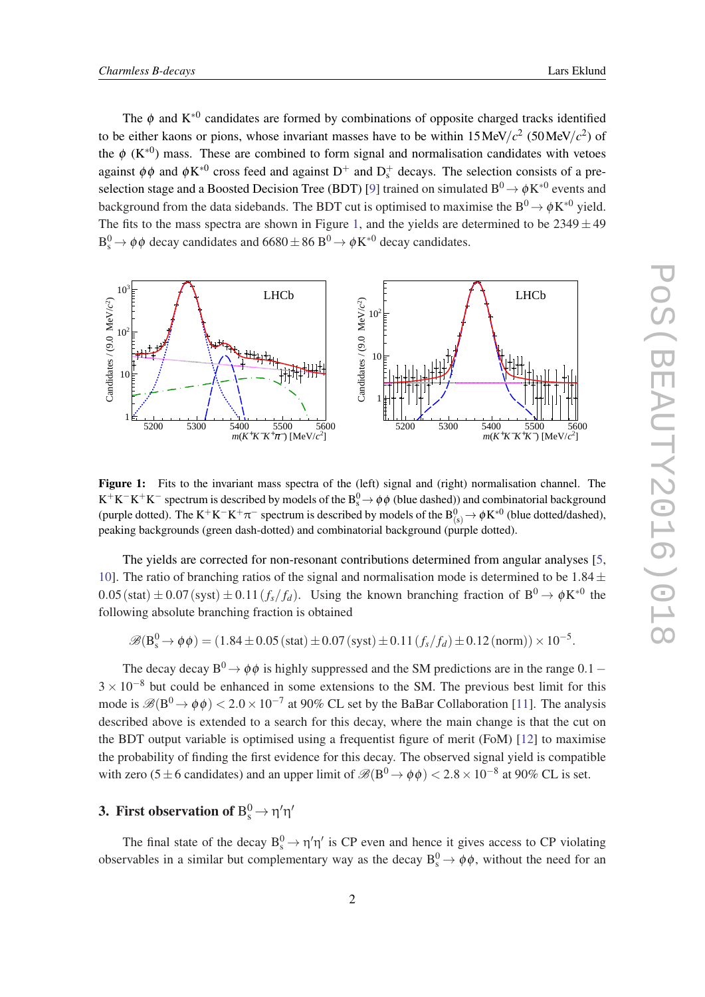The  $\phi$  and  $K^{*0}$  candidates are formed by combinations of opposite charged tracks identified to be either kaons or pions, whose invariant masses have to be within  $15 \text{MeV}/c^2$  (50 MeV/ $c^2$ ) of the  $\phi$  (K<sup>\*0</sup>) mass. These are combined to form signal and normalisation candidates with vetoes against  $\phi\phi$  and  $\phi K^{*0}$  cross feed and against  $D^+$  and  $D_s^+$  decays. The selection consists of a pre-selection stage and a Boosted Decision Tree (BDT) [[9](#page-5-0)] trained on simulated  $\rm B^0\!\rightarrow \phi K^{*0}$  events and background from the data sidebands. The BDT cut is optimised to maximise the  $B^0 \to \phi K^{*0}$  yield. The fits to the mass spectra are shown in Figure 1, and the yields are determined to be  $2349 \pm 49$  $B_s^0 \rightarrow \phi \phi$  decay candidates and  $6680 \pm 86$   $B^0 \rightarrow \phi K^{*0}$  decay candidates.



Figure 1: Fits to the invariant mass spectra of the (left) signal and (right) normalisation channel. The  $K^+K^-K^+K^-$  spectrum is described by models of the  $B^0_s\to \phi\phi$  (blue dashed)) and combinatorial background (purple dotted). The  $K^+K^-K^+\pi^-$  spectrum is described by models of the  $B^0_{(s)} \to \phi K^{*0}$  (blue dotted/dashed), peaking backgrounds (green dash-dotted) and combinatorial background (purple dotted).

The yields are corrected for non-resonant contributions determined from angular analyses [[5](#page-5-0), [10](#page-5-0)]. The ratio of branching ratios of the signal and normalisation mode is determined to be  $1.84 \pm$  $0.05$  (stat)  $\pm 0.07$  (syst)  $\pm 0.11$  ( $f_s/f_d$ ). Using the known branching fraction of  $B^0 \to \phi K^{*0}$  the following absolute branching fraction is obtained

$$
\mathscr{B}(B_s^0 \to \phi \phi) = (1.84 \pm 0.05 \text{ (stat)} \pm 0.07 \text{ (syst)} \pm 0.11 \text{ (f_s/f_d)} \pm 0.12 \text{ (norm)}) \times 10^{-5}.
$$

The decay decay B<sup>0</sup>  $\rightarrow$   $\phi \phi$  is highly suppressed and the SM predictions are in the range 0.1 –  $3 \times 10^{-8}$  but could be enhanced in some extensions to the SM. The previous best limit for this mode is  $\mathscr{B}(B^0 \to \phi \phi) < 2.0 \times 10^{-7}$  at 90% CL set by the BaBar Collaboration [[11\]](#page-5-0). The analysis described above is extended to a search for this decay, where the main change is that the cut on the BDT output variable is optimised using a frequentist figure of merit (FoM) [[12\]](#page-5-0) to maximise the probability of finding the first evidence for this decay. The observed signal yield is compatible with zero (5 ± 6 candidates) and an upper limit of  $\mathscr{B}(B^0 \to \phi\phi) < 2.8 \times 10^{-8}$  at 90% CL is set.

### 3. First observation of  $\text{B}^0_\text{s} \!\to$   $\!eta' \eta'$

The final state of the decay  $B_s^0 \rightarrow \eta' \eta'$  is CP even and hence it gives access to CP violating observables in a similar but complementary way as the decay  $B_s^0 \rightarrow \phi \phi$ , without the need for an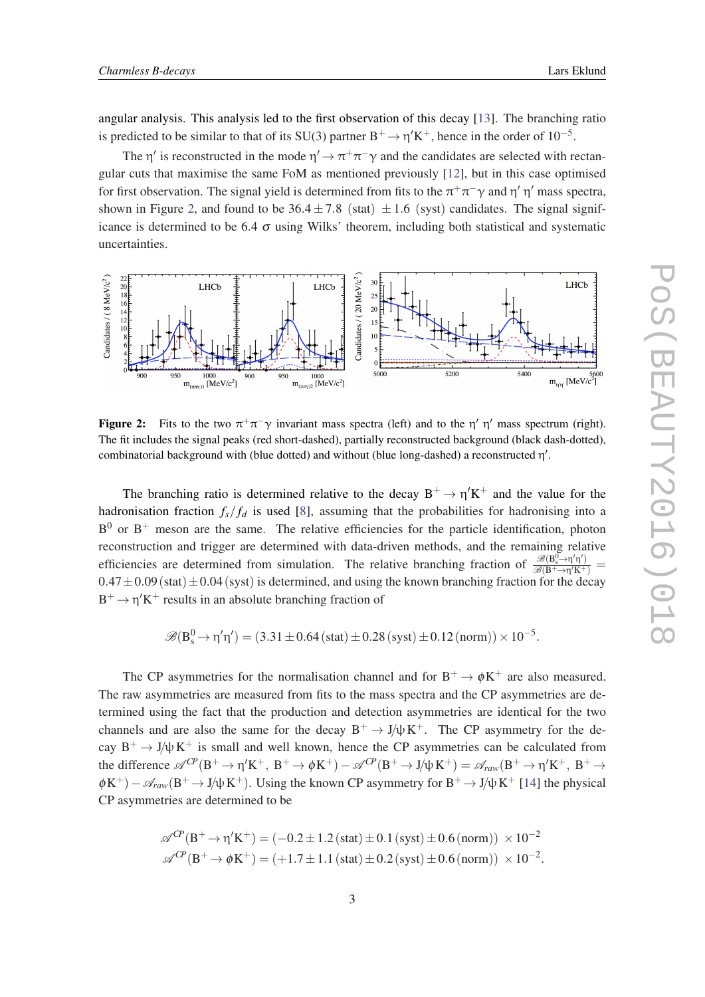angular analysis. This analysis led to the first observation of this decay [\[13](#page-5-0)]. The branching ratio is predicted to be similar to that of its SU(3) partner  $B^+ \to \eta' K^+$ , hence in the order of  $10^{-5}$ .

The  $\eta'$  is reconstructed in the mode  $\eta' \to \pi^+\pi^-\gamma$  and the candidates are selected with rectangular cuts that maximise the same FoM as mentioned previously [[12\]](#page-5-0), but in this case optimised for first observation. The signal yield is determined from fits to the  $\pi^+\pi^-\gamma$  and  $\eta'$   $\eta'$  mass spectra, shown in Figure 2, and found to be  $36.4 \pm 7.8$  (stat)  $\pm 1.6$  (syst) candidates. The signal significance is determined to be 6.4  $\sigma$  using Wilks' theorem, including both statistical and systematic uncertainties.



**Figure 2:** Fits to the two  $\pi^{+}\pi^{-}\gamma$  invariant mass spectra (left) and to the  $\eta'$   $\eta'$  mass spectrum (right). The fit includes the signal peaks (red short-dashed), partially reconstructed background (black dash-dotted), combinatorial background with (blue dotted) and without (blue long-dashed) a reconstructed η'.

The branching ratio is determined relative to the decay  $B^+ \to \eta' K^+$  and the value for the hadronisation fraction  $f_s/f_d$  is used [\[8\]](#page-5-0), assuming that the probabilities for hadronising into a  $B^0$  or  $B^+$  meson are the same. The relative efficiencies for the particle identification, photon reconstruction and trigger are determined with data-driven methods, and the remaining relative efficiencies are determined from simulation. The relative branching fraction of  $\frac{\mathscr{B}(B_s^{\sigma}\to\eta'\eta')}{\mathscr{B}(B_{s\to\gamma}^{\sigma'}K^+)}$  $\frac{\mathcal{B}(B_s \rightarrow H H)}{\mathcal{B}(B^+ \rightarrow \eta' K^+)} =$  $0.47 \pm 0.09$  (stat)  $\pm 0.04$  (syst) is determined, and using the known branching fraction for the decay  $B^+ \rightarrow \eta' K^+$  results in an absolute branching fraction of

$$
\mathscr{B}(B_s^0 \to \eta' \eta') = (3.31 \pm 0.64\,(\text{stat}) \pm 0.28\,(\text{syst}) \pm 0.12\,(\text{norm})) \times 10^{-5}.
$$

The CP asymmetries for the normalisation channel and for  $B^+ \to \phi K^+$  are also measured. The raw asymmetries are measured from fits to the mass spectra and the CP asymmetries are determined using the fact that the production and detection asymmetries are identical for the two channels and are also the same for the decay  $B^+ \to J/\psi K^+$ . The CP asymmetry for the decay  $B^+ \to J/\psi K^+$  is small and well known, hence the CP asymmetries can be calculated from the difference  $\mathscr{A}^{C\!P}(B^+\to \eta' K^+, B^+\to \phi K^+) - \mathscr{A}^{C\!P}(B^+\to J/\psi K^+) = \mathscr{A}_{raw}(B^+\to \eta' K^+, B^+\to \phi K^+)$  $\phi K^+$ ) –  $\mathscr{A}_{raw}(B^+ \to J/\psi K^+)$ . Using the known CP asymmetry for  $B^+ \to J/\psi K^+$  [\[14](#page-5-0)] the physical CP asymmetries are determined to be

$$
\mathscr{A}^{CP}(B^+ \to \eta' K^+) = (-0.2 \pm 1.2 \text{ (stat)} \pm 0.1 \text{ (syst)} \pm 0.6 \text{ (norm)} ) \times 10^{-2}
$$
  

$$
\mathscr{A}^{CP}(B^+ \to \phi K^+) = (+1.7 \pm 1.1 \text{ (stat)} \pm 0.2 \text{ (syst)} \pm 0.6 \text{ (norm)} ) \times 10^{-2}.
$$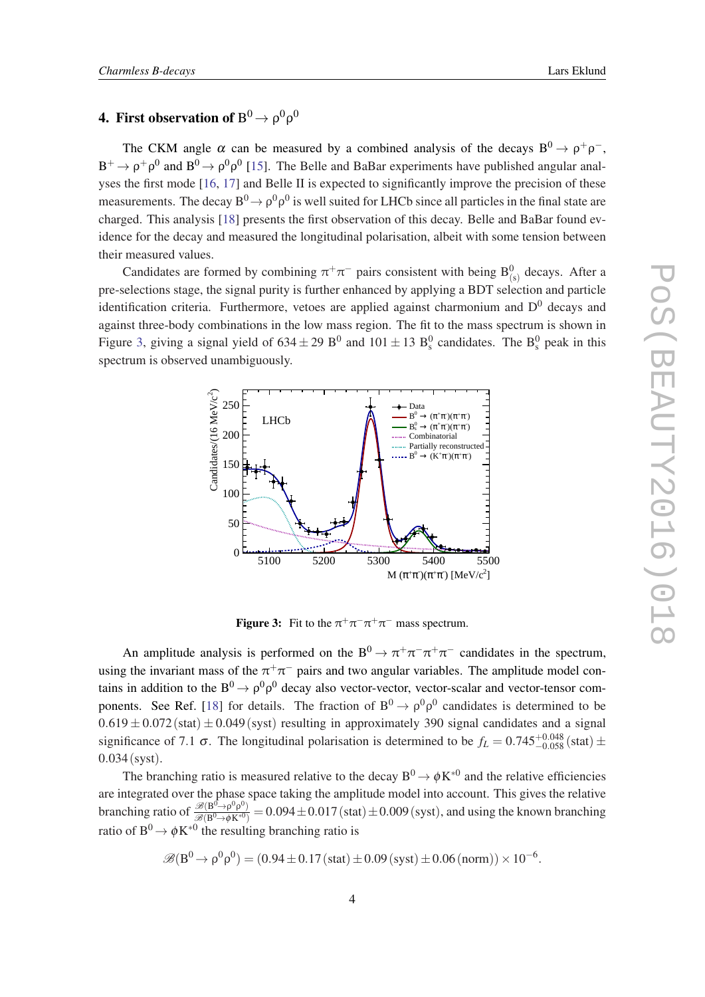### <span id="page-4-0"></span>4. First observation of  $\mathrm{B}^0 \! \rightarrow \mathrm{\rho}^0 \mathrm{\rho}^0$

The CKM angle  $\alpha$  can be measured by a combined analysis of the decays  $B^0 \rightarrow \rho^+ \rho^-$ ,  $B^+ \to \rho^+ \rho^0$  and  $B^0 \to \rho^0 \rho^0$  [[15\]](#page-5-0). The Belle and BaBar experiments have published angular analyses the first mode [[16,](#page-5-0) [17](#page-5-0)] and Belle II is expected to significantly improve the precision of these measurements. The decay  $B^0 \rightarrow \rho^0 \rho^0$  is well suited for LHCb since all particles in the final state are charged. This analysis [[18\]](#page-5-0) presents the first observation of this decay. Belle and BaBar found evidence for the decay and measured the longitudinal polarisation, albeit with some tension between their measured values.

Candidates are formed by combining  $\pi^+\pi^-$  pairs consistent with being  $B^0_{(s)}$  decays. After a pre-selections stage, the signal purity is further enhanced by applying a BDT selection and particle identification criteria. Furthermore, vetoes are applied against charmonium and  $D<sup>0</sup>$  decays and against three-body combinations in the low mass region. The fit to the mass spectrum is shown in Figure 3, giving a signal yield of  $634 \pm 29$  B<sup>0</sup> and  $101 \pm 13$  B<sub>s</sub><sup>0</sup> candidates. The B<sub>s</sub><sup>0</sup> peak in this spectrum is observed unambiguously.



**Figure 3:** Fit to the  $\pi^+\pi^-\pi^+\pi^-$  mass spectrum.

An amplitude analysis is performed on the  $B^0 \to \pi^+ \pi^- \pi^+ \pi^-$  candidates in the spectrum, using the invariant mass of the  $\pi^+\pi^-$  pairs and two angular variables. The amplitude model contains in addition to the  $B^0 \rightarrow \rho^0 \rho^0$  decay also vector-vector, vector-scalar and vector-tensor com-ponents. See Ref. [[18\]](#page-5-0) for details. The fraction of  $B^0 \to \rho^0 \rho^0$  candidates is determined to be  $0.619 \pm 0.072$  (stat)  $\pm 0.049$  (syst) resulting in approximately 390 signal candidates and a signal significance of 7.1  $\sigma$ . The longitudinal polarisation is determined to be  $f_L = 0.745^{+0.048}_{-0.058}$  (stat)  $\pm$ 0.034(syst).

The branching ratio is measured relative to the decay  $B^0 \to \phi K^{*0}$  and the relative efficiencies are integrated over the phase space taking the amplitude model into account. This gives the relative branching ratio of  $\frac{\mathcal{B}(B^0\to \rho^0\rho^0)}{\mathcal{B}(B^0\to \phi K^{*0})} = 0.094 \pm 0.017$  (stat)  $\pm 0.009$  (syst), and using the known branching ratio of  $B^0 \to \phi K^{*0}$  the resulting branching ratio is

$$
\mathscr{B}(B^0 \to \rho^0 \rho^0) = (0.94 \pm 0.17 \, (\text{stat}) \pm 0.09 \, (\text{syst}) \pm 0.06 \, (\text{norm})) \times 10^{-6}.
$$